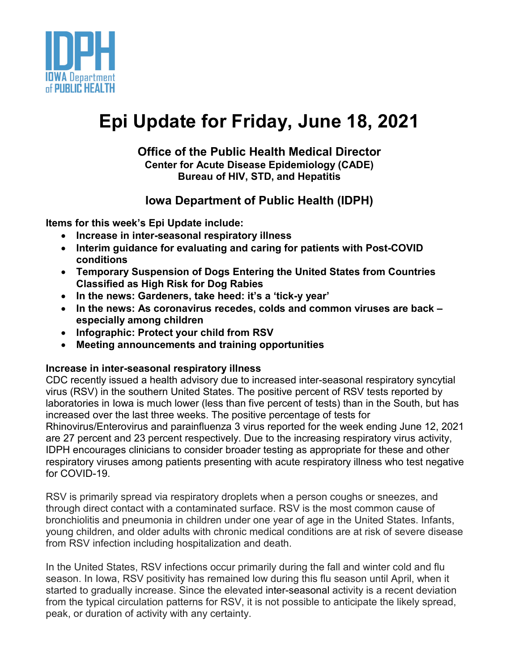

# **Epi Update for Friday, June 18, 2021**

#### **Office of the Public Health Medical Director Center for Acute Disease Epidemiology (CADE) Bureau of HIV, STD, and Hepatitis**

# **Iowa Department of Public Health (IDPH)**

**Items for this week's Epi Update include:**

- **Increase in inter-seasonal respiratory illness**
- **Interim guidance for evaluating and caring for patients with Post-COVID conditions**
- **Temporary Suspension of Dogs Entering the United States from Countries Classified as High Risk for Dog Rabies**
- **In the news: Gardeners, take heed: it's a 'tick-y year'**
- **In the news: As coronavirus recedes, colds and common viruses are back – especially among children**
- **Infographic: Protect your child from RSV**
- **Meeting announcements and training opportunities**

## **Increase in inter-seasonal respiratory illness**

CDC recently issued a health advisory due to increased inter-seasonal respiratory syncytial virus (RSV) in the southern United States. The positive percent of RSV tests reported by laboratories in Iowa is much lower (less than five percent of tests) than in the South, but has increased over the last three weeks. The positive percentage of tests for Rhinovirus/Enterovirus and parainfluenza 3 virus reported for the week ending June 12, 2021 are 27 percent and 23 percent respectively. Due to the increasing respiratory virus activity, IDPH encourages clinicians to consider broader testing as appropriate for these and other respiratory viruses among patients presenting with acute respiratory illness who test negative for COVID-19.

RSV is primarily spread via respiratory droplets when a person coughs or sneezes, and through direct contact with a contaminated surface. RSV is the most common cause of bronchiolitis and pneumonia in children under one year of age in the United States. Infants, young children, and older adults with chronic medical conditions are at risk of severe disease from RSV infection including hospitalization and death.

In the United States, RSV infections occur primarily during the fall and winter cold and flu season. In Iowa, RSV positivity has remained low during this flu season until April, when it started to gradually increase. Since the elevated inter-seasonal activity is a recent deviation from the typical circulation patterns for RSV, it is not possible to anticipate the likely spread, peak, or duration of activity with any certainty.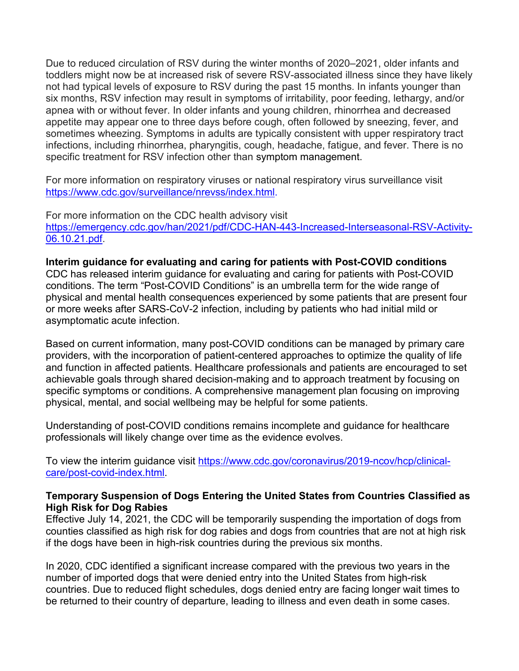Due to reduced circulation of RSV during the winter months of 2020–2021, older infants and toddlers might now be at increased risk of severe RSV-associated illness since they have likely not had typical levels of exposure to RSV during the past 15 months. In infants younger than six months, RSV infection may result in symptoms of irritability, poor feeding, lethargy, and/or apnea with or without fever. In older infants and young children, rhinorrhea and decreased appetite may appear one to three days before cough, often followed by sneezing, fever, and sometimes wheezing. Symptoms in adults are typically consistent with upper respiratory tract infections, including rhinorrhea, pharyngitis, cough, headache, fatigue, and fever. There is no specific treatment for RSV infection other than symptom management.

For more information on respiratory viruses or national respiratory virus surveillance visit [https://www.cdc.gov/surveillance/nrevss/index.html.](https://www.cdc.gov/surveillance/nrevss/index.html)

For more information on the CDC health advisory visit [https://emergency.cdc.gov/han/2021/pdf/CDC-HAN-443-Increased-Interseasonal-RSV-Activity-](https://emergency.cdc.gov/han/2021/pdf/CDC-HAN-443-Increased-Interseasonal-RSV-Activity-06.10.21.pdf)[06.10.21.pdf.](https://emergency.cdc.gov/han/2021/pdf/CDC-HAN-443-Increased-Interseasonal-RSV-Activity-06.10.21.pdf)

**Interim guidance for evaluating and caring for patients with Post-COVID conditions** CDC has released interim guidance for evaluating and caring for patients with Post-COVID conditions. The term "Post-COVID Conditions" is an umbrella term for the wide range of physical and mental health consequences experienced by some patients that are present four or more weeks after SARS-CoV-2 infection, including by patients who had initial mild or asymptomatic acute infection.

Based on current information, many post-COVID conditions can be managed by primary care providers, with the incorporation of patient-centered approaches to optimize the quality of life and function in affected patients. Healthcare professionals and patients are encouraged to set achievable goals through shared decision-making and to approach treatment by focusing on specific symptoms or conditions. A comprehensive management plan focusing on improving physical, mental, and social wellbeing may be helpful for some patients.

Understanding of post-COVID conditions remains incomplete and guidance for healthcare professionals will likely change over time as the evidence evolves.

To view the interim guidance visit [https://www.cdc.gov/coronavirus/2019-ncov/hcp/clinical](https://www.cdc.gov/coronavirus/2019-ncov/hcp/clinical-care/post-covid-index.html)[care/post-covid-index.html.](https://www.cdc.gov/coronavirus/2019-ncov/hcp/clinical-care/post-covid-index.html)

#### **Temporary Suspension of Dogs Entering the United States from Countries Classified as High Risk for Dog Rabies**

Effective July 14, 2021, the CDC will be temporarily suspending the importation of dogs from counties classified as high risk for dog rabies and dogs from countries that are not at high risk if the dogs have been in high-risk countries during the previous six months.

In 2020, CDC identified a significant increase compared with the previous two years in the number of imported dogs that were denied entry into the United States from high-risk countries. Due to reduced flight schedules, dogs denied entry are facing longer wait times to be returned to their country of departure, leading to illness and even death in some cases.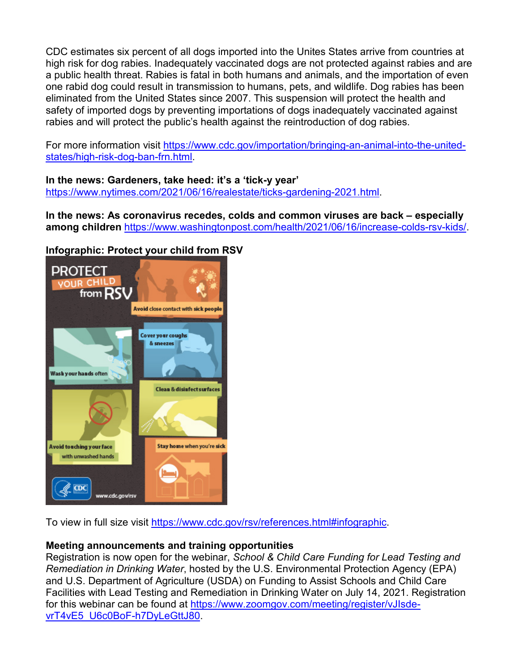CDC estimates six percent of all dogs imported into the Unites States arrive from countries at high risk for dog rabies. Inadequately vaccinated dogs are not protected against rabies and are a public health threat. Rabies is fatal in both humans and animals, and the importation of even one rabid dog could result in transmission to humans, pets, and wildlife. Dog rabies has been eliminated from the United States since 2007. This suspension will protect the health and safety of imported dogs by preventing importations of dogs inadequately vaccinated against rabies and will protect the public's health against the reintroduction of dog rabies.

For more information visit [https://www.cdc.gov/importation/bringing-an-animal-into-the-united](https://www.cdc.gov/importation/bringing-an-animal-into-the-united-states/high-risk-dog-ban-frn.html)[states/high-risk-dog-ban-frn.html.](https://www.cdc.gov/importation/bringing-an-animal-into-the-united-states/high-risk-dog-ban-frn.html)

**In the news: Gardeners, take heed: it's a 'tick-y year'**  [https://www.nytimes.com/2021/06/16/realestate/ticks-gardening-2021.html.](https://www.nytimes.com/2021/06/16/realestate/ticks-gardening-2021.html)

**In the news: As coronavirus recedes, colds and common viruses are back – especially among children** [https://www.washingtonpost.com/health/2021/06/16/increase-colds-rsv-kids/.](https://www.washingtonpost.com/health/2021/06/16/increase-colds-rsv-kids/)

### **Infographic: [Protect your child from R](https://www.cdc.gov/rsv/references.html#infographic)SV**



To view in full size visit [https://www.cdc.gov/rsv/references.html#infographic.](https://www.cdc.gov/rsv/references.html#infographic)

#### **Meeting announcements and training opportunities**

Registration is now open for the webinar, *School & Child Care Funding for Lead Testing and Remediation in Drinking Water*, hosted by the U.S. Environmental Protection Agency (EPA) and U.S. Department of Agriculture (USDA) on Funding to Assist Schools and Child Care Facilities with Lead Testing and Remediation in Drinking Water on July 14, 2021. Registration for this webinar can be found at [https://www.zoomgov.com/meeting/register/vJIsde](https://www.zoomgov.com/meeting/register/vJIsde-vrT4vE5_U6c0BoF-h7DyLeGttJ80)[vrT4vE5\\_U6c0BoF-h7DyLeGttJ80.](https://www.zoomgov.com/meeting/register/vJIsde-vrT4vE5_U6c0BoF-h7DyLeGttJ80)